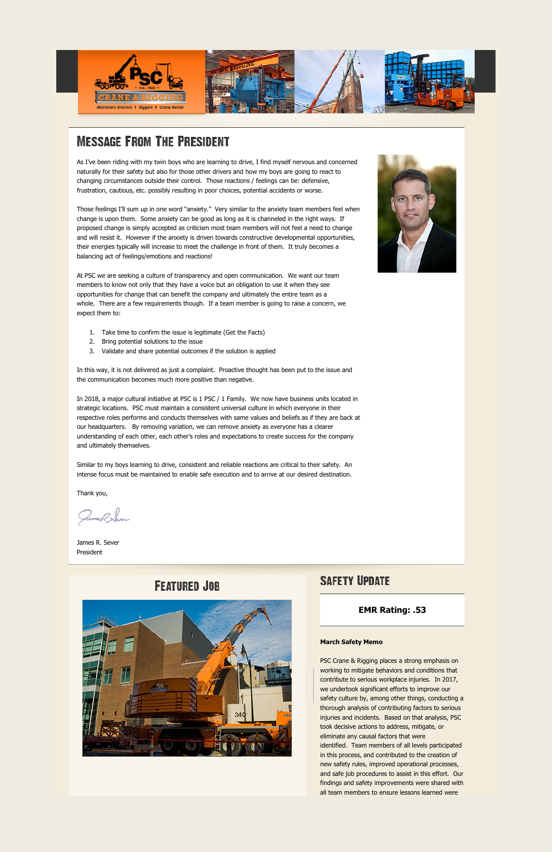

# **MESSAGE FROM THE PRESIDENT**

As I've been riding with my twin boys who are learning to drive, I find myself nervous and concerned naturally for their safety but also for those other drivers and how my boys are going to react to changing circumstances outside their control. Those reactions / feelings can be: defensive, frustration, cautious, etc. possibly resulting in poor choices, potential accidents or worse.

Those feelings I'll sum up in one word "anxiety." Very similar to the anxiety team members feel when change is upon them. Some anxiety can be good as long as it is channeled in the right ways. If proposed change is simply accepted as criticism most team members will not feel a need to change and will resist it. However if the anxiety is driven towards constructive developmental opportunities, their energies typically will increase to meet the challenge in front of them. It truly becomes a balancing act of feelings/emotions and reactions!

At PSC we are seeking a culture of transparency and open communication. We want our team members to know not only that they have a voice but an obligation to use it when they see opportunities for change that can benefit the company and ultimately the entire team as a whole. There are a few requirements though. If a team member is going to raise a concern, we expect them to:

- 1. Take time to confirm the issue is legitimate (Get the Facts)
- 2. Bring potential solutions to the issue
- 3. Validate and share potential outcomes if the solution is applied

In this way, it is not delivered as just a complaint. Proactive thought has been put to the issue and the communication becomes much more positive than negative.

In 2018, a major cultural initiative at PSC is 1 PSC / 1 Family. We now have business units located in strategic locations. PSC must maintain a consistent universal culture in which everyone in their respective roles performs and conducts themselves with same values and beliefs as if they are back at our headquarters. By removing variation, we can remove anxiety as everyone has a clearer understanding of each other, each other's roles and expectations to create success for the company and ultimately themselves.

Similar to my boys learning to drive, consistent and reliable reactions are critical to their safety. An intense focus must be maintained to enable safe execution and to arrive at our desired destination.

Thank you,

James R Seven

James R. Sever President

### **FEATURED JOB**

# **SAFETY UPDATE**





### **EMR Rating: .53**

#### **March Safety Memo**

PSC Crane & Rigging places a strong emphasis on working to mitigate behaviors and conditions that contribute to serious workplace injuries. In 2017, we undertook significant efforts to improve our safety culture by, among other things, conducting a thorough analysis of contributing factors to serious injuries and incidents. Based on that analysis, PSC took decisive actions to address, mitigate, or eliminate any causal factors that were identified. Team members of all levels participated in this process, and contributed to the creation of new safety rules, improved operational processes, and safe job procedures to assist in this effort. Our findings and safety improvements were shared with all team members to ensure lessons learned were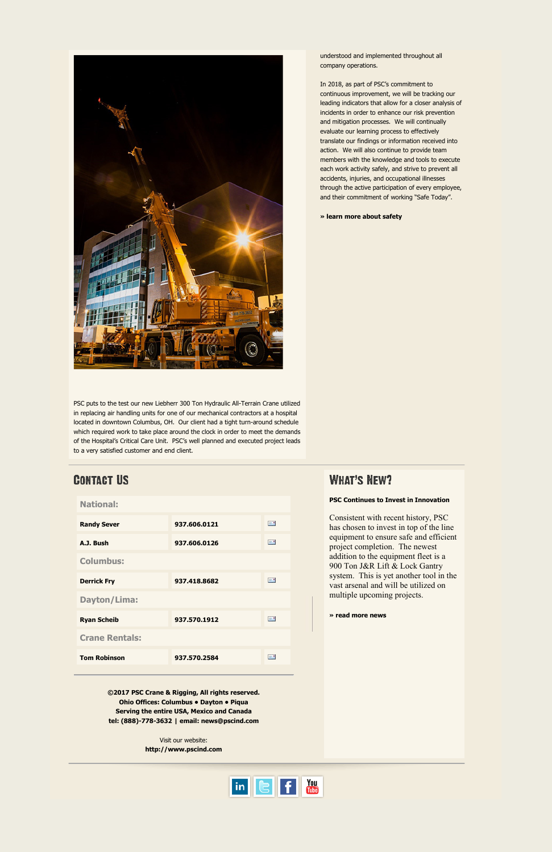

PSC puts to the test our new Liebherr 300 Ton Hydraulic All-Terrain Crane utilized in replacing air handling units for one of our mechanical contractors at a hospital located in downtown Columbus, OH. Our client had a tight turn-around schedule which required work to take place around the clock in order to meet the demands of the Hospital's Critical Care Unit. PSC's well planned and executed project leads to a very satisfied customer and end client.

# **CONTACT US**

understood and implemented throughout all company operations.

In 2018, as part of PSC's commitment to continuous improvement, we will be tracking our leading indicators that allow for a closer analysis of incidents in order to enhance our risk prevention and mitigation processes. We will continually evaluate our learning process to effectively translate our findings or information received into action. We will also continue to provide team members with the knowledge and tools to execute each work activity safely, and strive to prevent all accidents, injuries, and occupational illnesses through the active participation of every employee, and their commitment of working "Safe Today".

**[» learn more about safety](http://pscind.com/index.php?option=com_jlinks&controller=redirect&link=jnews5hu78gzq1&lktype=jnewsmail&subsid=5892)**

# **WHAT'S NEW?**

| <b>National:</b>   |              |                |
|--------------------|--------------|----------------|
| <b>Randy Sever</b> | 937.606.0121 | 出版             |
| A.J. Bush          | 937.606.0126 | $=$ $^{\circ}$ |
| <b>Columbus:</b>   |              |                |
| <b>Derrick Fry</b> | 937.418.8682 | $\equiv 0$     |
| Dayton/Lima:       |              |                |
| <b>Ryan Scheib</b> | 937.570.1912 | $=$            |



**©2017 PSC Crane & Rigging, All rights reserved. Ohio Offices: Columbus • Dayton • Piqua Serving the entire USA, Mexico and Canada tel: (888)-778-3632 | email[: news@pscind.com](mailto:news@pscind.com)**

> Visit our website: **[http://www.pscind.com](http://pscind.com/index.php?option=com_jlinks&controller=redirect&link=jnews5hu78gzq&lktype=jnewsmail&subsid=5892)**



#### **PSC Continues to Invest in Innovation**

Consistent with recent history, PSC has chosen to invest in top of the line equipment to ensure safe and efficient project completion. The newest addition to the equipment fleet is a 900 Ton J&R Lift & Lock Gantry system. This is yet another tool in the vast arsenal and will be utilized on multiple upcoming projects.

#### **[» read more news](http://pscind.com/index.php?option=com_jlinks&controller=redirect&link=jnews5hu78gzq2&lktype=jnewsmail&subsid=5892)**